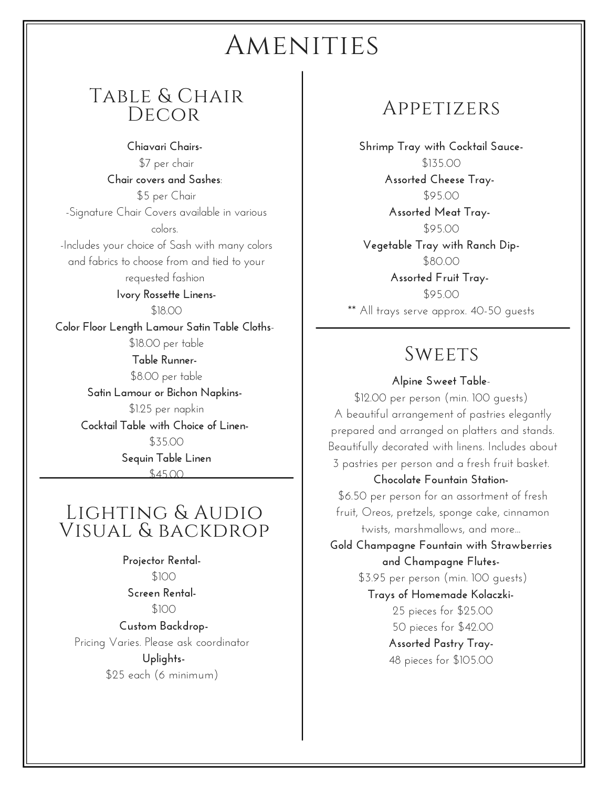# AMENITIES

### Table & Chair **DECOR**

**Chiavari Chairs-** \$7 per chair **Chair covers and Sashes**: \$5 per Chair -Signature Chair Covers available in various colors. -Includes your choice of Sash with many colors and fabrics to choose from and tied to your requested fashion **Ivory Rossette Linens-** \$18.00 **Color Floor Length Lamour Satin Table Cloths**- \$18.00 per table **Table Runner-** \$8.00 per table **Satin Lamour or Bichon Napkins-** \$1.25 per napkin **Cocktail Table with Choice of Linen-** \$35.00 **Sequin Table Linen**  $44500$ 

### Lighting & Audio Visual & backdrop

**Projector Rental-** \$100 **Screen Rental-** \$100 **Custom Backdrop-**

Pricing Varies. Please ask coordinator **Uplights-** \$25 each (6 minimum)

### Appetizers

**Shrimp Tray with Cocktail Sauce-** \$135.00 **Assorted Cheese Tray-** \$95.00 **Assorted Meat Tray-** \$95.00 **Vegetable Tray with Ranch Dip-** \$80.00

**Assorted Fruit Tray-** \$95.00 \*\* All trays serve approx. 40-50 guests

### **SWEETS**

#### **Alpine Sweet Table**-

\$12.00 per person (min. 100 guests) A beautiful arrangement of pastries elegantly prepared and arranged on platters and stands. Beautifully decorated with linens. Includes about 3 pastries per person and a fresh fruit basket.

#### **Chocolate Fountain Station-**

\$6.50 per person for an assortment of fresh fruit, Oreos, pretzels, sponge cake, cinnamon twists, marshmallows, and more...

**Gold Champagne Fountain with Strawberries and Champagne Flutes-**

\$3.95 per person (min. 100 guests)

**Trays of Homemade Kolaczki-**

 pieces for \$25.00 pieces for \$42.00 **Assorted Pastry Tray-**pieces for \$105.00